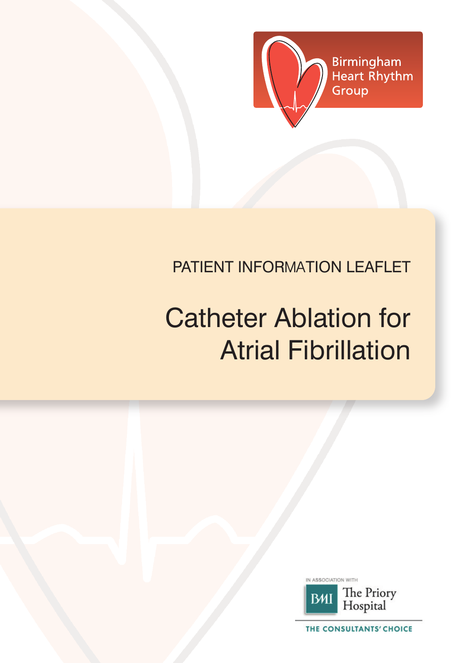

# PATIENT INFORmaTION LEAFLET

# Catheter Ablation for Atrial Fibrillation



THE CONSULTANTS' CHOICE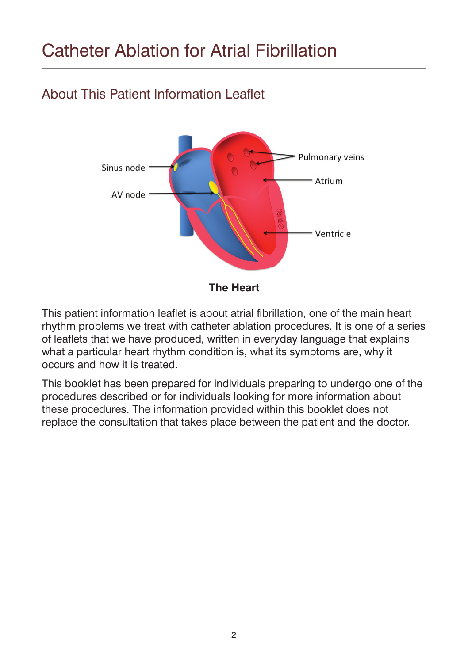# Catheter Ablation for Atrial Fibrillation

# About This Patient Information Leaflet



**The Heart**

This patient information leaflet is about atrial fibrillation, one of the main heart rhythm problems we treat with catheter ablation procedures. It is one of a series of leaflets that we have produced, written in everyday language that explains what a particular heart rhythm condition is, what its symptoms are, why it occurs and how it is treated.

This booklet has been prepared for individuals preparing to undergo one of the procedures described or for individuals looking for more information about these procedures. The information provided within this booklet does not replace the consultation that takes place between the patient and the doctor.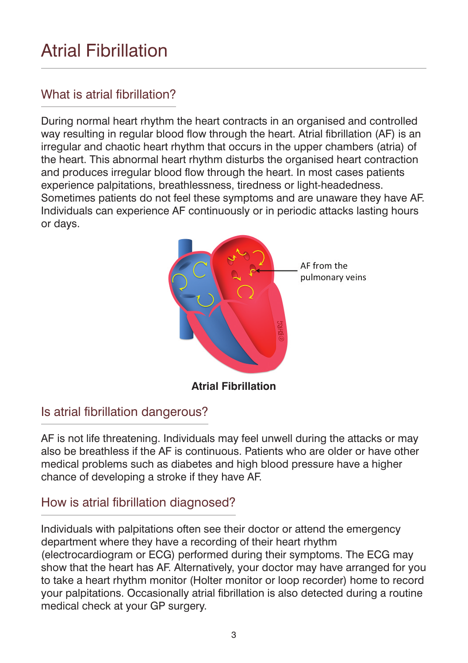# Atrial Fibrillation

# What is atrial fibrillation?

During normal heart rhythm the heart contracts in an organised and controlled way resulting in regular blood flow through the heart. Atrial fibrillation (AF) is an irregular and chaotic heart rhythm that occurs in the upper chambers (atria) of the heart. This abnormal heart rhythm disturbs the organised heart contraction and produces irregular blood flow through the heart. In most cases patients experience palpitations, breathlessness, tiredness or light-headedness. Sometimes patients do not feel these symptoms and are unaware they have AF. Individuals can experience AF continuously or in periodic attacks lasting hours or days.



# Is atrial fibrillation dangerous?

AF is not life threatening. Individuals may feel unwell during the attacks or may also be breathless if the AF is continuous. Patients who are older or have other medical problems such as diabetes and high blood pressure have a higher chance of developing a stroke if they have AF.

# How is atrial fibrillation diagnosed?

Individuals with palpitations often see their doctor or attend the emergency department where they have a recording of their heart rhythm (electrocardiogram or ECG) performed during their symptoms. The ECG may show that the heart has AF. Alternatively, your doctor may have arranged for you to take a heart rhythm monitor (Holter monitor or loop recorder) home to record your palpitations. Occasionally atrial fibrillation is also detected during a routine medical check at your GP surgery.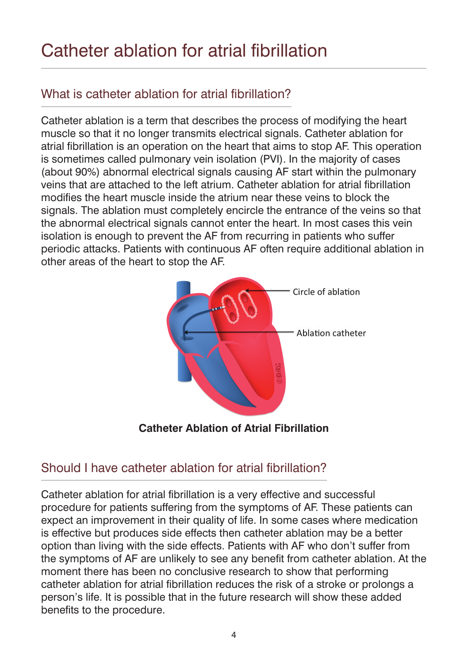# Catheter ablation for atrial fibrillation

# What is catheter ablation for atrial fibrillation?

Catheter ablation is a term that describes the process of modifying the heart muscle so that it no longer transmits electrical signals. Catheter ablation for atrial fibrillation is an operation on the heart that aims to stop AF. This operation is sometimes called pulmonary vein isolation (PVI). In the majority of cases (about 90%) abnormal electrical signals causing AF start within the pulmonary veins that are attached to the left atrium. Catheter ablation for atrial fibrillation modifies the heart muscle inside the atrium near these veins to block the signals. The ablation must completely encircle the entrance of the veins so that the abnormal electrical signals cannot enter the heart. In most cases this vein isolation is enough to prevent the AF from recurring in patients who suffer periodic attacks. Patients with continuous AF often require additional ablation in other areas of the heart to stop the AF.



**Catheter Ablation of Atrial Fibrillation**

# Should I have catheter ablation for atrial fibrillation?

Catheter ablation for atrial fibrillation is a very effective and successful procedure for patients suffering from the symptoms of AF. These patients can expect an improvement in their quality of life. In some cases where medication is effective but produces side effects then catheter ablation may be a better option than living with the side effects. Patients with AF who don't suffer from the symptoms of AF are unlikely to see any benefit from catheter ablation. At the moment there has been no conclusive research to show that performing catheter ablation for atrial fibrillation reduces the risk of a stroke or prolongs a person's life. It is possible that in the future research will show these added benefits to the procedure.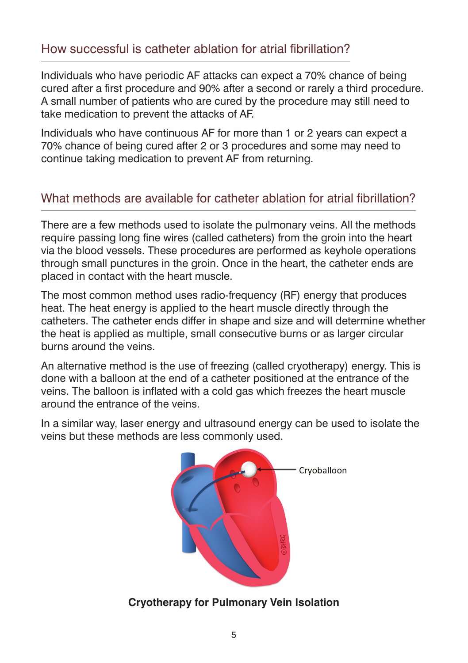#### How successful is catheter ablation for atrial fibrillation?

Individuals who have periodic AF attacks can expect a 70% chance of being cured after a first procedure and 90% after a second or rarely a third procedure. A small number of patients who are cured by the procedure may still need to take medication to prevent the attacks of AF.

Individuals who have continuous AF for more than 1 or 2 years can expect a 70% chance of being cured after 2 or 3 procedures and some may need to continue taking medication to prevent AF from returning.

#### What methods are available for catheter ablation for atrial fibrillation?

There are a few methods used to isolate the pulmonary veins. All the methods require passing long fine wires (called catheters) from the groin into the heart via the blood vessels. These procedures are performed as keyhole operations through small punctures in the groin. Once in the heart, the catheter ends are placed in contact with the heart muscle.

The most common method uses radio-frequency (RF) energy that produces heat. The heat energy is applied to the heart muscle directly through the catheters. The catheter ends differ in shape and size and will determine whether the heat is applied as multiple, small consecutive burns or as larger circular burns around the veins.

An alternative method is the use of freezing (called cryotherapy) energy. This is done with a balloon at the end of a catheter positioned at the entrance of the veins. The balloon is inflated with a cold gas which freezes the heart muscle around the entrance of the veins.

In a similar way, laser energy and ultrasound energy can be used to isolate the veins but these methods are less commonly used.



#### **Cryotherapy for Pulmonary Vein Isolation**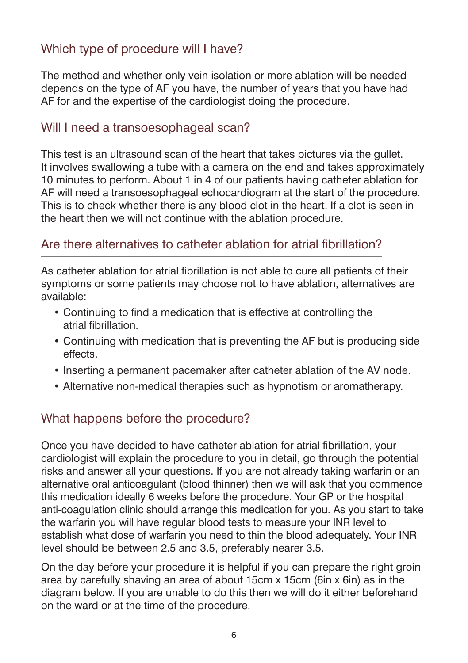# Which type of procedure will I have?

The method and whether only vein isolation or more ablation will be needed depends on the type of AF you have, the number of years that you have had AF for and the expertise of the cardiologist doing the procedure.

#### Will I need a transoesophageal scan?

This test is an ultrasound scan of the heart that takes pictures via the gullet. It involves swallowing a tube with a camera on the end and takes approximately 10 minutes to perform. About 1 in 4 of our patients having catheter ablation for AF will need a transoesophageal echocardiogram at the start of the procedure. This is to check whether there is any blood clot in the heart. If a clot is seen in the heart then we will not continue with the ablation procedure.

#### Are there alternatives to catheter ablation for atrial fibrillation?

As catheter ablation for atrial fibrillation is not able to cure all patients of their symptoms or some patients may choose not to have ablation, alternatives are available:

- Continuing to find a medication that is effective at controlling the atrial fibrillation.
- Continuing with medication that is preventing the AF but is producing side effects.
- Inserting a permanent pacemaker after catheter ablation of the AV node.
- Alternative non-medical therapies such as hypnotism or aromatherapy.

#### What happens before the procedure?

Once you have decided to have catheter ablation for atrial fibrillation, your cardiologist will explain the procedure to you in detail, go through the potential risks and answer all your questions. If you are not already taking warfarin or an alternative oral anticoagulant (blood thinner) then we will ask that you commence this medication ideally 6 weeks before the procedure. Your GP or the hospital anti-coagulation clinic should arrange this medication for you. As you start to take the warfarin you will have regular blood tests to measure your INR level to establish what dose of warfarin you need to thin the blood adequately. Your INR level should be between 2.5 and 3.5, preferably nearer 3.5.

On the day before your procedure it is helpful if you can prepare the right groin area by carefully shaving an area of about 15cm x 15cm (6in x 6in) as in the diagram below. If you are unable to do this then we will do it either beforehand on the ward or at the time of the procedure.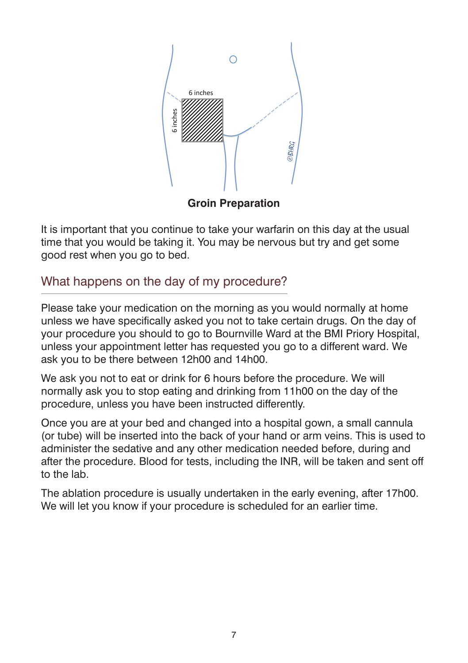

**Groin Preparation**

It is important that you continue to take your warfarin on this day at the usual time that you would be taking it. You may be nervous but try and get some good rest when you go to bed.

# What happens on the day of my procedure?

Please take your medication on the morning as you would normally at home unless we have specifically asked you not to take certain drugs. On the day of your procedure you should to go to Bournville Ward at the BMI Priory Hospital, unless your appointment letter has requested you go to a different ward. We ask you to be there between 12h00 and 14h00.

We ask you not to eat or drink for 6 hours before the procedure. We will normally ask you to stop eating and drinking from 11h00 on the day of the procedure, unless you have been instructed differently.

Once you are at your bed and changed into a hospital gown, a small cannula (or tube) will be inserted into the back of your hand or arm veins. This is used to administer the sedative and any other medication needed before, during and after the procedure. Blood for tests, including the INR, will be taken and sent off to the lab.

The ablation procedure is usually undertaken in the early evening, after 17h00. We will let you know if your procedure is scheduled for an earlier time.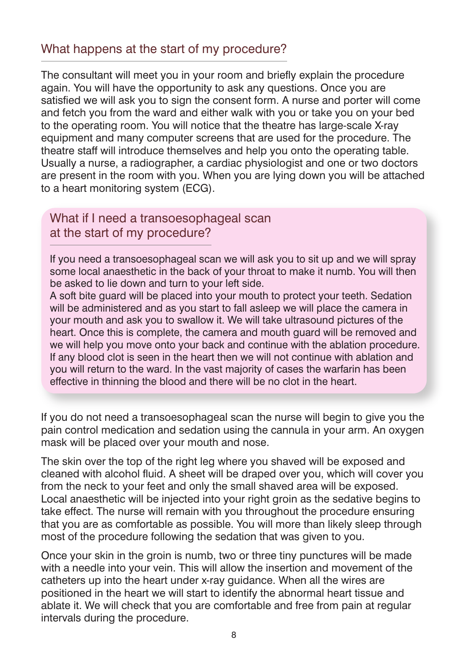#### What happens at the start of my procedure?

The consultant will meet you in your room and briefly explain the procedure again. You will have the opportunity to ask any questions. Once you are satisfied we will ask you to sign the consent form. A nurse and porter will come and fetch you from the ward and either walk with you or take you on your bed to the operating room. You will notice that the theatre has large-scale X-ray equipment and many computer screens that are used for the procedure. The theatre staff will introduce themselves and help you onto the operating table. Usually a nurse, a radiographer, a cardiac physiologist and one or two doctors are present in the room with you. When you are lying down you will be attached to a heart monitoring system (ECG).

#### What if I need a transoesophageal scan at the start of my procedure?

If you need a transoesophageal scan we will ask you to sit up and we will spray some local anaesthetic in the back of your throat to make it numb. You will then be asked to lie down and turn to your left side.

A soft bite guard will be placed into your mouth to protect your teeth. Sedation will be administered and as you start to fall asleep we will place the camera in your mouth and ask you to swallow it. We will take ultrasound pictures of the heart. Once this is complete, the camera and mouth guard will be removed and we will help you move onto your back and continue with the ablation procedure. If any blood clot is seen in the heart then we will not continue with ablation and you will return to the ward. In the vast majority of cases the warfarin has been effective in thinning the blood and there will be no clot in the heart.

If you do not need a transoesophageal scan the nurse will begin to give you the pain control medication and sedation using the cannula in your arm. An oxygen mask will be placed over your mouth and nose.

The skin over the top of the right leg where you shaved will be exposed and cleaned with alcohol fluid. A sheet will be draped over you, which will cover you from the neck to your feet and only the small shaved area will be exposed. Local anaesthetic will be injected into your right groin as the sedative begins to take effect. The nurse will remain with you throughout the procedure ensuring that you are as comfortable as possible. You will more than likely sleep through most of the procedure following the sedation that was given to you.

Once your skin in the groin is numb, two or three tiny punctures will be made with a needle into your vein. This will allow the insertion and movement of the catheters up into the heart under x-ray guidance. When all the wires are positioned in the heart we will start to identify the abnormal heart tissue and ablate it. We will check that you are comfortable and free from pain at regular intervals during the procedure.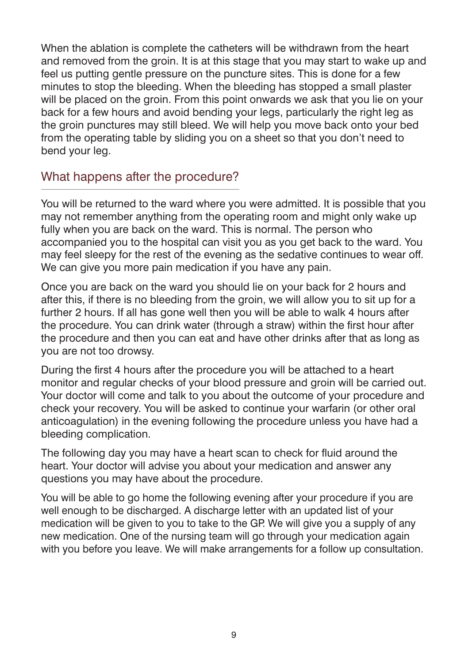When the ablation is complete the catheters will be withdrawn from the heart and removed from the groin. It is at this stage that you may start to wake up and feel us putting gentle pressure on the puncture sites. This is done for a few minutes to stop the bleeding. When the bleeding has stopped a small plaster will be placed on the groin. From this point onwards we ask that you lie on your back for a few hours and avoid bending your legs, particularly the right leg as the groin punctures may still bleed. We will help you move back onto your bed from the operating table by sliding you on a sheet so that you don't need to bend your leg.

#### What happens after the procedure?

You will be returned to the ward where you were admitted. It is possible that you may not remember anything from the operating room and might only wake up fully when you are back on the ward. This is normal. The person who accompanied you to the hospital can visit you as you get back to the ward. You may feel sleepy for the rest of the evening as the sedative continues to wear off. We can give you more pain medication if you have any pain.

Once you are back on the ward you should lie on your back for 2 hours and after this, if there is no bleeding from the groin, we will allow you to sit up for a further 2 hours. If all has gone well then you will be able to walk 4 hours after the procedure. You can drink water (through a straw) within the first hour after the procedure and then you can eat and have other drinks after that as long as you are not too drowsy.

During the first 4 hours after the procedure you will be attached to a heart monitor and regular checks of your blood pressure and groin will be carried out. Your doctor will come and talk to you about the outcome of your procedure and check your recovery. You will be asked to continue your warfarin (or other oral anticoagulation) in the evening following the procedure unless you have had a bleeding complication.

The following day you may have a heart scan to check for fluid around the heart. Your doctor will advise you about your medication and answer any questions you may have about the procedure.

You will be able to go home the following evening after your procedure if you are well enough to be discharged. A discharge letter with an updated list of your medication will be given to you to take to the GP. We will give you a supply of any new medication. One of the nursing team will go through your medication again with you before you leave. We will make arrangements for a follow up consultation.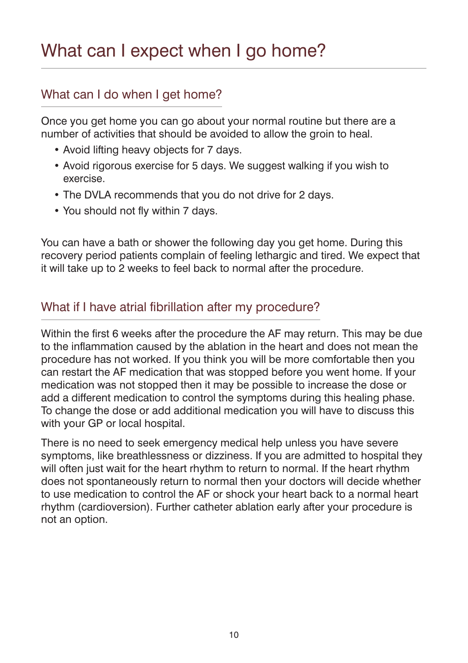# What can I expect when I go home?

# What can I do when I get home?

Once you get home you can go about your normal routine but there are a number of activities that should be avoided to allow the groin to heal.

- Avoid lifting heavy objects for 7 days.
- Avoid rigorous exercise for 5 days. We suggest walking if you wish to exercise.
- The DVLA recommends that you do not drive for 2 days.
- You should not fly within 7 days.

You can have a bath or shower the following day you get home. During this recovery period patients complain of feeling lethargic and tired. We expect that it will take up to 2 weeks to feel back to normal after the procedure.

#### What if I have atrial fibrillation after my procedure?

Within the first 6 weeks after the procedure the AF may return. This may be due to the inflammation caused by the ablation in the heart and does not mean the procedure has not worked. If you think you will be more comfortable then you can restart the AF medication that was stopped before you went home. If your medication was not stopped then it may be possible to increase the dose or add a different medication to control the symptoms during this healing phase. To change the dose or add additional medication you will have to discuss this with your GP or local hospital.

There is no need to seek emergency medical help unless you have severe symptoms, like breathlessness or dizziness. If you are admitted to hospital they will often just wait for the heart rhythm to return to normal. If the heart rhythm does not spontaneously return to normal then your doctors will decide whether to use medication to control the AF or shock your heart back to a normal heart rhythm (cardioversion). Further catheter ablation early after your procedure is not an option.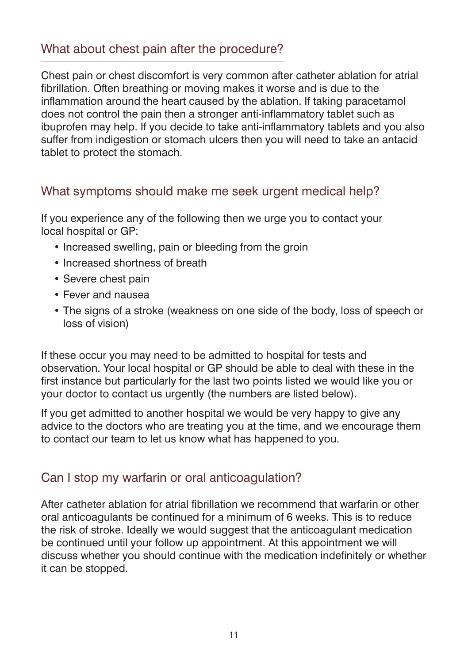#### What about chest pain after the procedure?

Chest pain or chest discomfort is very common after catheter ablation for atrial fibrillation. Often breathing or moving makes it worse and is due to the inflammation around the heart caused by the ablation. If taking paracetamol does not control the pain then a stronger anti-inflammatory tablet such as ibuprofen may help. If you decide to take anti-inflammatory tablets and you also suffer from indigestion or stomach ulcers then you will need to take an antacid tablet to protect the stomach.

#### What symptoms should make me seek urgent medical help?

If you experience any of the following then we urge you to contact your local hospital or GP:

- Increased swelling, pain or bleeding from the groin
- Increased shortness of breath
- Severe chest pain
- Fever and nausea
- The signs of a stroke (weakness on one side of the body, loss of speech or loss of vision)

If these occur you may need to be admitted to hospital for tests and observation. Your local hospital or GP should be able to deal with these in the first instance but particularly for the last two points listed we would like you or your doctor to contact us urgently (the numbers are listed below).

If you get admitted to another hospital we would be very happy to give any advice to the doctors who are treating you at the time, and we encourage them to contact our team to let us know what has happened to you.

# Can I stop my warfarin or oral anticoagulation?

After catheter ablation for atrial fibrillation we recommend that warfarin or other oral anticoagulants be continued for a minimum of 6 weeks. This is to reduce the risk of stroke. Ideally we would suggest that the anticoagulant medication be continued until your follow up appointment. At this appointment we will discuss whether you should continue with the medication indefinitely or whether it can be stopped.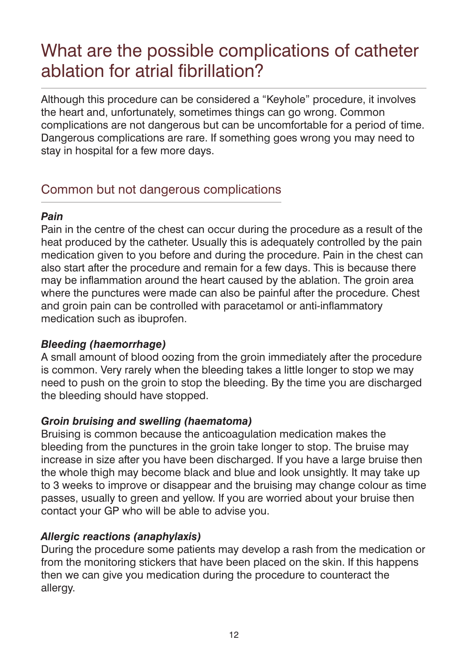# What are the possible complications of catheter ablation for atrial fibrillation?

Although this procedure can be considered a "Keyhole" procedure, it involves the heart and, unfortunately, sometimes things can go wrong. Common complications are not dangerous but can be uncomfortable for a period of time. Dangerous complications are rare. If something goes wrong you may need to stay in hospital for a few more days.

# Common but not dangerous complications

#### *Pain*

Pain in the centre of the chest can occur during the procedure as a result of the heat produced by the catheter. Usually this is adequately controlled by the pain medication given to you before and during the procedure. Pain in the chest can also start after the procedure and remain for a few days. This is because there may be inflammation around the heart caused by the ablation. The groin area where the punctures were made can also be painful after the procedure. Chest and groin pain can be controlled with paracetamol or anti-inflammatory medication such as ibuprofen.

#### *Bleeding (haemorrhage)*

A small amount of blood oozing from the groin immediately after the procedure is common. Very rarely when the bleeding takes a little longer to stop we may need to push on the groin to stop the bleeding. By the time you are discharged the bleeding should have stopped.

#### *Groin bruising and swelling (haematoma)*

Bruising is common because the anticoagulation medication makes the bleeding from the punctures in the groin take longer to stop. The bruise may increase in size after you have been discharged. If you have a large bruise then the whole thigh may become black and blue and look unsightly. It may take up to 3 weeks to improve or disappear and the bruising may change colour as time passes, usually to green and yellow. If you are worried about your bruise then contact your GP who will be able to advise you.

#### *Allergic reactions (anaphylaxis)*

During the procedure some patients may develop a rash from the medication or from the monitoring stickers that have been placed on the skin. If this happens then we can give you medication during the procedure to counteract the allergy.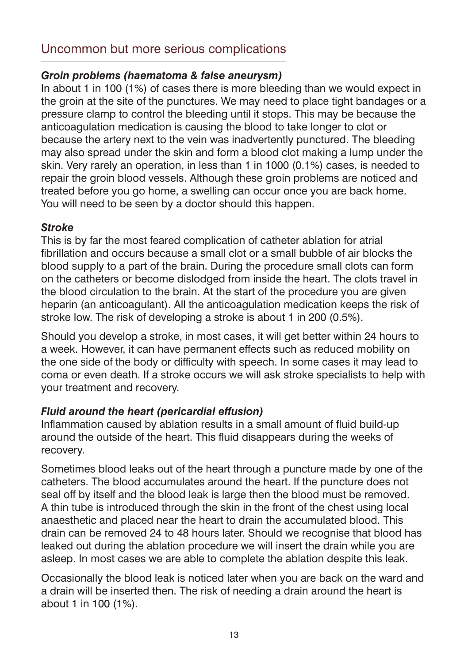# Uncommon but more serious complications

#### *Groin problems (haematoma & false aneurysm)*

In about 1 in 100 (1%) of cases there is more bleeding than we would expect in the groin at the site of the punctures. We may need to place tight bandages or a pressure clamp to control the bleeding until it stops. This may be because the anticoagulation medication is causing the blood to take longer to clot or because the artery next to the vein was inadvertently punctured. The bleeding may also spread under the skin and form a blood clot making a lump under the skin. Very rarely an operation, in less than 1 in 1000 (0.1%) cases, is needed to repair the groin blood vessels. Although these groin problems are noticed and treated before you go home, a swelling can occur once you are back home. You will need to be seen by a doctor should this happen.

#### *Stroke*

This is by far the most feared complication of catheter ablation for atrial fibrillation and occurs because a small clot or a small bubble of air blocks the blood supply to a part of the brain. During the procedure small clots can form on the catheters or become dislodged from inside the heart. The clots travel in the blood circulation to the brain. At the start of the procedure you are given heparin (an anticoagulant). All the anticoagulation medication keeps the risk of stroke low. The risk of developing a stroke is about 1 in 200 (0.5%).

Should you develop a stroke, in most cases, it will get better within 24 hours to a week. However, it can have permanent effects such as reduced mobility on the one side of the body or difficulty with speech. In some cases it may lead to coma or even death. If a stroke occurs we will ask stroke specialists to help with your treatment and recovery.

#### *Fluid around the heart (pericardial effusion)*

Inflammation caused by ablation results in a small amount of fluid build-up around the outside of the heart. This fluid disappears during the weeks of recovery.

Sometimes blood leaks out of the heart through a puncture made by one of the catheters. The blood accumulates around the heart. If the puncture does not seal off by itself and the blood leak is large then the blood must be removed. A thin tube is introduced through the skin in the front of the chest using local anaesthetic and placed near the heart to drain the accumulated blood. This drain can be removed 24 to 48 hours later. Should we recognise that blood has leaked out during the ablation procedure we will insert the drain while you are asleep. In most cases we are able to complete the ablation despite this leak.

Occasionally the blood leak is noticed later when you are back on the ward and a drain will be inserted then. The risk of needing a drain around the heart is about 1 in 100 (1%).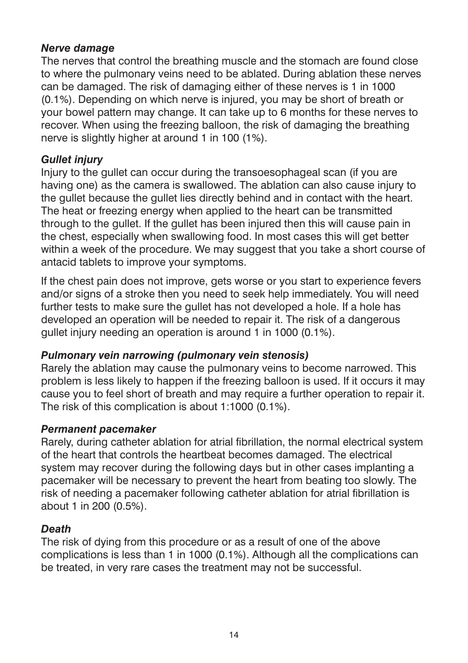#### *Nerve damage*

The nerves that control the breathing muscle and the stomach are found close to where the pulmonary veins need to be ablated. During ablation these nerves can be damaged. The risk of damaging either of these nerves is 1 in 1000 (0.1%). Depending on which nerve is injured, you may be short of breath or your bowel pattern may change. It can take up to 6 months for these nerves to recover. When using the freezing balloon, the risk of damaging the breathing nerve is slightly higher at around 1 in 100 (1%).

#### *Gullet injury*

Injury to the gullet can occur during the transoesophageal scan (if you are having one) as the camera is swallowed. The ablation can also cause injury to the gullet because the gullet lies directly behind and in contact with the heart. The heat or freezing energy when applied to the heart can be transmitted through to the gullet. If the gullet has been injured then this will cause pain in the chest, especially when swallowing food. In most cases this will get better within a week of the procedure. We may suggest that you take a short course of antacid tablets to improve your symptoms.

If the chest pain does not improve, gets worse or you start to experience fevers and/or signs of a stroke then you need to seek help immediately. You will need further tests to make sure the gullet has not developed a hole. If a hole has developed an operation will be needed to repair it. The risk of a dangerous gullet injury needing an operation is around 1 in 1000 (0.1%).

#### *Pulmonary vein narrowing (pulmonary vein stenosis)*

Rarely the ablation may cause the pulmonary veins to become narrowed. This problem is less likely to happen if the freezing balloon is used. If it occurs it may cause you to feel short of breath and may require a further operation to repair it. The risk of this complication is about 1:1000 (0.1%).

#### *Permanent pacemaker*

Rarely, during catheter ablation for atrial fibrillation, the normal electrical system of the heart that controls the heartbeat becomes damaged. The electrical system may recover during the following days but in other cases implanting a pacemaker will be necessary to prevent the heart from beating too slowly. The risk of needing a pacemaker following catheter ablation for atrial fibrillation is about 1 in 200 (0.5%).

#### *Death*

The risk of dying from this procedure or as a result of one of the above complications is less than 1 in 1000 (0.1%). Although all the complications can be treated, in very rare cases the treatment may not be successful.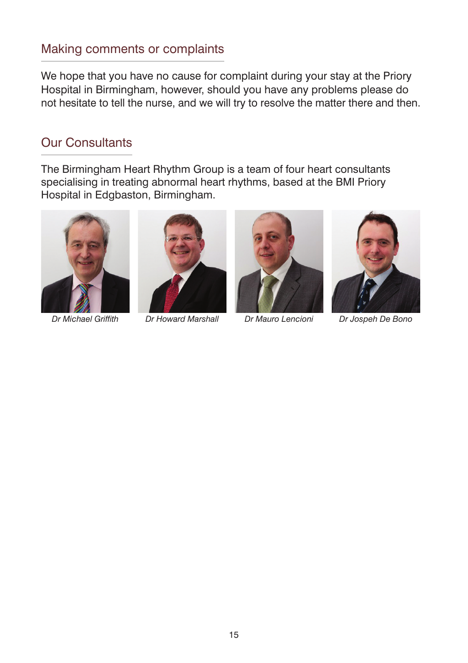# Making comments or complaints

We hope that you have no cause for complaint during your stay at the Priory Hospital in Birmingham, however, should you have any problems please do not hesitate to tell the nurse, and we will try to resolve the matter there and then.

#### Our Consultants

The Birmingham Heart Rhythm Group is a team of four heart consultants specialising in treating abnormal heart rhythms, based at the BMI Priory Hospital in Edgbaston, Birmingham.





*Dr Michael Griffith Dr Howard Marshall Dr Mauro Lencioni Dr Jospeh De Bono*